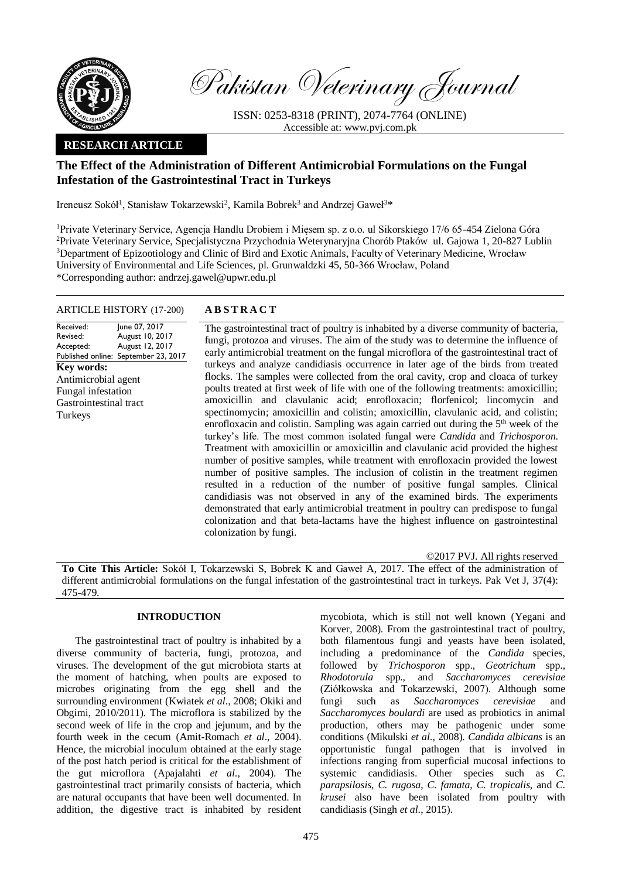

Pakistan Veterinary Journal

ISSN: 0253-8318 (PRINT), 2074-7764 (ONLINE) Accessible at: [www.pvj.com.pk](http://www.pvj.com.pk/)

# **RESEARCH ARTICLE**

# **The Effect of the Administration of Different Antimicrobial Formulations on the Fungal Infestation of the Gastrointestinal Tract in Turkeys**

Ireneusz Sokół<sup>1</sup>, Stanisław Tokarzewski<sup>2</sup>, Kamila Bobrek<sup>3</sup> and Andrzej Gaweł<sup>3\*</sup>

<sup>1</sup>Private Veterinary Service, Agencja Handlu Drobiem i Mięsem sp. z o.o. ul Sikorskiego 17/6 65-454 Zielona Góra <sup>2</sup>Private Veterinary Service, Specjalistyczna Przychodnia Weterynaryjna Chorób Ptaków ul. Gajowa 1, 20-827 Lublin <sup>3</sup>Department of Epizootiology and Clinic of Bird and Exotic Animals, Faculty of Veterinary Medicine, Wrocław University of Environmental and Life Sciences, pl. Grunwaldzki 45, 50-366 Wrocław, Poland \*Corresponding author: andrzej.gawel@upwr.edu.pl

### ARTICLE HISTORY (17-200) **A B S T R A C T**

Received: Revised: Accepted: Published online: September 23, 2017 June 07, 2017 August 10, 2017 August 12, 2017 **Key words:**  Antimicrobial agent Fungal infestation Gastrointestinal tract Turkeys

The gastrointestinal tract of poultry is inhabited by a diverse community of bacteria, fungi, protozoa and viruses. The aim of the study was to determine the influence of early antimicrobial treatment on the fungal microflora of the gastrointestinal tract of turkeys and analyze candidiasis occurrence in later age of the birds from treated flocks. The samples were collected from the oral cavity, crop and cloaca of turkey poults treated at first week of life with one of the following treatments: amoxicillin; amoxicillin and clavulanic acid; enrofloxacin; florfenicol; lincomycin and spectinomycin; amoxicillin and colistin; amoxicillin, clavulanic acid, and colistin; enrofloxacin and colistin. Sampling was again carried out during the 5<sup>th</sup> week of the turkey's life. The most common isolated fungal were *Candida* and *Trichosporon*. Treatment with amoxicillin or amoxicillin and clavulanic acid provided the highest number of positive samples, while treatment with enrofloxacin provided the lowest number of positive samples. The inclusion of colistin in the treatment regimen resulted in a reduction of the number of positive fungal samples. Clinical candidiasis was not observed in any of the examined birds. The experiments demonstrated that early antimicrobial treatment in poultry can predispose to fungal colonization and that beta-lactams have the highest influence on gastrointestinal colonization by fungi.

©2017 PVJ. All rights reserved

**To Cite This Article:** Sokół I, Tokarzewski S, Bobrek K and Gaweł A, 2017. The effect of the administration of different antimicrobial formulations on the fungal infestation of the gastrointestinal tract in turkeys. Pak Vet J, 37(4): 475-479.

## **INTRODUCTION**

The gastrointestinal tract of poultry is inhabited by a diverse community of bacteria, fungi, protozoa, and viruses. The development of the gut microbiota starts at the moment of hatching, when poults are exposed to microbes originating from the egg shell and the surrounding environment (Kwiatek *et al*., 2008; Okiki and Obgimi, 2010/2011). The microflora is stabilized by the second week of life in the crop and jejunum, and by the fourth week in the cecum (Amit-Romach *et al*., 2004). Hence, the microbial inoculum obtained at the early stage of the post hatch period is critical for the establishment of the gut microflora (Apajalahti *et al*., 2004). The gastrointestinal tract primarily consists of bacteria, which are natural occupants that have been well documented. In addition, the digestive tract is inhabited by resident

mycobiota, which is still not well known (Yegani and Korver, 2008). From the gastrointestinal tract of poultry, both filamentous fungi and yeasts have been isolated, including a predominance of the *Candida* species, followed by *Trichosporon* spp., *Geotrichum* spp., *Rhodotorula* spp., and *Saccharomyces cerevisiae*  (Ziółkowska and Tokarzewski, 2007). Although some fungi such as *Saccharomyces cerevisiae* and *Saccharomyces boulardi* are used as probiotics in animal production, others may be pathogenic under some conditions (Mikulski *et al*., 2008). *Candida albicans* is an opportunistic fungal pathogen that is involved in infections ranging from superficial mucosal infections to systemic candidiasis. Other species such as *C. parapsilosis*, *C. rugosa*, *C. famata*, *C. tropicalis*, and *C. krusei* also have been isolated from poultry with candidiasis (Singh *et al*., 2015).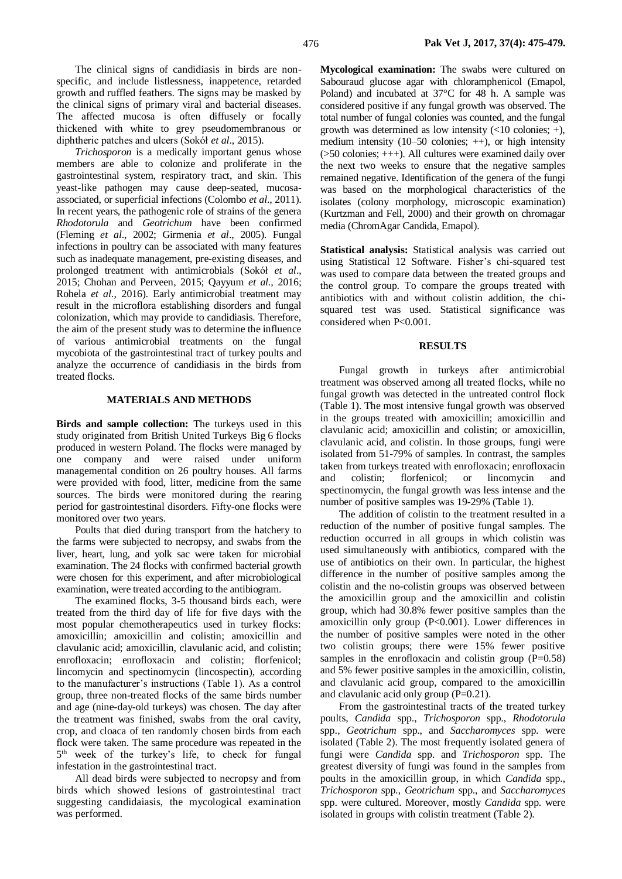The clinical signs of candidiasis in birds are nonspecific, and include listlessness, inappetence, retarded growth and ruffled feathers. The signs may be masked by the clinical signs of primary viral and bacterial diseases. The affected mucosa is often diffusely or focally thickened with white to grey pseudomembranous or diphtheric patches and ulcers (Sokół *et al*., 2015).

*Trichosporon* is a medically important genus whose members are able to colonize and proliferate in the gastrointestinal system, respiratory tract, and skin. This yeast-like pathogen may cause deep-seated, mucosaassociated, or superficial infections (Colombo *et al*., 2011). In recent years, the pathogenic role of strains of the genera *Rhodotorula* and *Geotrichum* have been confirmed (Fleming *et al*., 2002; Girmenia *et al*., 2005). Fungal infections in poultry can be associated with many features such as inadequate management, pre-existing diseases, and prolonged treatment with antimicrobials (Sokół *et al*., 2015; Chohan and Perveen, 2015; Qayyum *et al.,* 2016; Rohela *et al*., 2016). Early antimicrobial treatment may result in the microflora establishing disorders and fungal colonization, which may provide to candidiasis. Therefore, the aim of the present study was to determine the influence of various antimicrobial treatments on the fungal mycobiota of the gastrointestinal tract of turkey poults and analyze the occurrence of candidiasis in the birds from treated flocks.

## **MATERIALS AND METHODS**

**Birds and sample collection:** The turkeys used in this study originated from British United Turkeys Big 6 flocks produced in western Poland. The flocks were managed by one company and were raised under uniform managemental condition on 26 poultry houses. All farms were provided with food, litter, medicine from the same sources. The birds were monitored during the rearing period for gastrointestinal disorders. Fifty-one flocks were monitored over two years.

Poults that died during transport from the hatchery to the farms were subjected to necropsy, and swabs from the liver, heart, lung, and yolk sac were taken for microbial examination. The 24 flocks with confirmed bacterial growth were chosen for this experiment, and after microbiological examination, were treated according to the antibiogram.

The examined flocks, 3-5 thousand birds each, were treated from the third day of life for five days with the most popular chemotherapeutics used in turkey flocks: amoxicillin; amoxicillin and colistin; amoxicillin and clavulanic acid; amoxicillin, clavulanic acid, and colistin; enrofloxacin; enrofloxacin and colistin; florfenicol; lincomycin and spectinomycin (lincospectin), according to the manufacturer's instructions (Table 1). As a control group, three non-treated flocks of the same birds number and age (nine-day-old turkeys) was chosen. The day after the treatment was finished, swabs from the oral cavity, crop, and cloaca of ten randomly chosen birds from each flock were taken. The same procedure was repeated in the 5 th week of the turkey's life, to check for fungal infestation in the gastrointestinal tract.

All dead birds were subjected to necropsy and from birds which showed lesions of gastrointestinal tract suggesting candidaiasis, the mycological examination was performed.

**Mycological examination:** The swabs were cultured on Sabouraud glucose agar with chloramphenicol (Emapol, Poland) and incubated at 37°C for 48 h. A sample was considered positive if any fungal growth was observed. The total number of fungal colonies was counted, and the fungal growth was determined as low intensity  $\left( \langle 10 \rangle \right)$  colonies; +), medium intensity (10–50 colonies; ++), or high intensity (>50 colonies; +++). All cultures were examined daily over the next two weeks to ensure that the negative samples remained negative. Identification of the genera of the fungi was based on the morphological characteristics of the isolates (colony morphology, microscopic examination) (Kurtzman and Fell, 2000) and their growth on chromagar media (ChromAgar Candida, Emapol).

**Statistical analysis:** Statistical analysis was carried out using Statistical 12 Software. Fisher's chi-squared test was used to compare data between the treated groups and the control group. To compare the groups treated with antibiotics with and without colistin addition, the chisquared test was used. Statistical significance was considered when P<0.001.

#### **RESULTS**

Fungal growth in turkeys after antimicrobial treatment was observed among all treated flocks, while no fungal growth was detected in the untreated control flock (Table 1). The most intensive fungal growth was observed in the groups treated with amoxicillin; amoxicillin and clavulanic acid; amoxicillin and colistin; or amoxicillin, clavulanic acid, and colistin. In those groups, fungi were isolated from 51-79% of samples. In contrast, the samples taken from turkeys treated with enrofloxacin; enrofloxacin and colistin; florfenicol; or lincomycin and spectinomycin, the fungal growth was less intense and the number of positive samples was 19-29% (Table 1).

The addition of colistin to the treatment resulted in a reduction of the number of positive fungal samples. The reduction occurred in all groups in which colistin was used simultaneously with antibiotics, compared with the use of antibiotics on their own. In particular, the highest difference in the number of positive samples among the colistin and the no-colistin groups was observed between the amoxicillin group and the amoxicillin and colistin group, which had 30.8% fewer positive samples than the amoxicillin only group (P<0.001). Lower differences in the number of positive samples were noted in the other two colistin groups; there were 15% fewer positive samples in the enrofloxacin and colistin group  $(P=0.58)$ and 5% fewer positive samples in the amoxicillin, colistin, and clavulanic acid group, compared to the amoxicillin and clavulanic acid only group (P=0.21).

From the gastrointestinal tracts of the treated turkey poults, *Candida* spp., *Trichosporon* spp., *Rhodotorula*  spp., *Geotrichum* spp., and *Saccharomyces* spp. were isolated (Table 2). The most frequently isolated genera of fungi were *Candida* spp. and *Trichosporon* spp. The greatest diversity of fungi was found in the samples from poults in the amoxicillin group, in which *Candida* spp., *Trichosporon* spp., *Geotrichum* spp., and *Saccharomyces*  spp. were cultured. Moreover, mostly *Candida* spp. were isolated in groups with colistin treatment (Table 2).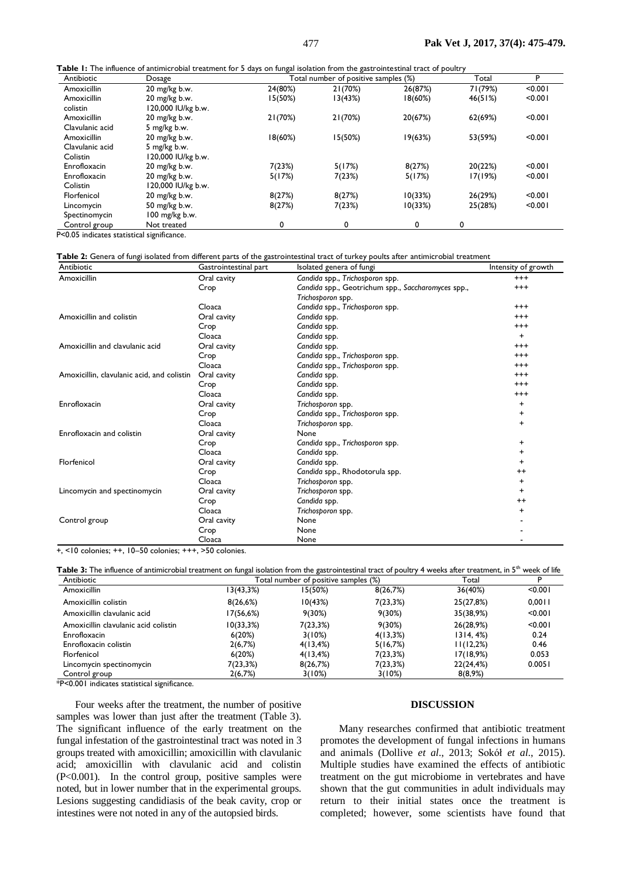| Antibiotic      | Dosage             | Total number of positive samples (%) |         |         | Total   | D       |
|-----------------|--------------------|--------------------------------------|---------|---------|---------|---------|
| Amoxicillin     | 20 mg/kg b.w.      | 24(80%)                              | 21(70%) | 26(87%) | 71(79%) | < 0.001 |
| Amoxicillin     | 20 mg/kg b.w.      | 15(50%)                              | 13(43%) | 18(60%) | 46(51%) | < 0.001 |
| colistin        | 120,000 IU/kg b.w. |                                      |         |         |         |         |
| Amoxicillin     | 20 mg/kg b.w.      | 21(70%)                              | 21(70%) | 20(67%) | 62(69%) | < 0.001 |
| Clavulanic acid | 5 mg/kg b.w.       |                                      |         |         |         |         |
| Amoxicillin     | 20 mg/kg b.w.      | 18(60%)                              | 15(50%) | 19(63%) | 53(59%) | < 0.001 |
| Clavulanic acid | 5 mg/kg b.w.       |                                      |         |         |         |         |
| Colistin        | 120,000 IU/kg b.w. |                                      |         |         |         |         |
| Enrofloxacin    | 20 mg/kg b.w.      | 7(23%)                               | 5(17%)  | 8(27%)  | 20(22%) | < 0.001 |
| Enrofloxacin    | 20 mg/kg b.w.      | 5(17%)                               | 7(23%)  | 5(17%)  | 17(19%) | < 0.001 |
| Colistin        | 120,000 IU/kg b.w. |                                      |         |         |         |         |
| Florfenicol     | 20 mg/kg b.w.      | 8(27%)                               | 8(27%)  | 10(33%) | 26(29%) | < 0.001 |
| Lincomycin      | 50 mg/kg b.w.      | 8(27%)                               | 7(23%)  | 10(33%) | 25(28%) | < 0.001 |
| Spectinomycin   | 100 mg/kg b.w.     |                                      |         |         |         |         |
| Control group   | Not treated        | 0                                    | 0       | 0       | 0       |         |

P<0.05 indicates statistical significance.

#### **Table 2:** Genera of fungi isolated from different parts of the gastrointestinal tract of turkey poults after antimicrobial treatment

| Antibiotic                                 | Gastrointestinal part | Isolated genera of fungi                                                | Intensity of growth |
|--------------------------------------------|-----------------------|-------------------------------------------------------------------------|---------------------|
| Amoxicillin                                | Oral cavity           | Candida spp., Trichosporon spp.                                         | $^{+++}$            |
|                                            | Crop                  | Candida spp., Geotrichum spp., Saccharomyces spp.,<br>Trichosporon spp. | $^{+++}$            |
|                                            | Cloaca                | Candida spp., Trichosporon spp.                                         | $^{+++}$            |
| Amoxicillin and colistin                   | Oral cavity           | Candida spp.                                                            | $^{+++}$            |
|                                            | Crop                  | Candida spp.                                                            | $^{+++}$            |
|                                            | Cloaca                | Candida spp.                                                            | $\ddot{}$           |
| Amoxicillin and clavulanic acid            | Oral cavity           | Candida spp.                                                            | $^{+++}$            |
|                                            | Crop                  | Candida spp., Trichosporon spp.                                         | $^{+++}$            |
|                                            | Cloaca                | Candida spp., Trichosporon spp.                                         | $^{+++}$            |
| Amoxicillin, clavulanic acid, and colistin | Oral cavity           | Candida spp.                                                            | $^{+++}$            |
|                                            | Crop                  | Candida spp.                                                            | $^{+++}$            |
|                                            | Cloaca                | Candida spp.                                                            | $^{+++}$            |
| Enrofloxacin                               | Oral cavity           | Trichosporon spp.                                                       | $\ddot{}$           |
|                                            | Crop                  | Candida spp., Trichosporon spp.                                         | +                   |
|                                            | Cloaca                | Trichosporon spp.                                                       | $\ddot{}$           |
| Enrofloxacin and colistin                  | Oral cavity           | None                                                                    |                     |
|                                            | Crop                  | Candida spp., Trichosporon spp.                                         | +                   |
|                                            | Cloaca                | Candida spp.                                                            | +                   |
| Florfenicol                                | Oral cavity           | Candida spp.                                                            | +                   |
|                                            | Crop                  | Candida spp., Rhodotorula spp.                                          | $++$                |
|                                            | Cloaca                | Trichosporon spp.                                                       | $\ddot{}$           |
| Lincomycin and spectinomycin               | Oral cavity           | Trichosporon spp.                                                       | $\ddot{}$           |
|                                            | Crop                  | Candida spp.                                                            | $^{++}$             |
|                                            | Cloaca                | Trichosporon spp.                                                       | $\ddot{}$           |
| Control group                              | Oral cavity           | None                                                                    |                     |
|                                            | Crop                  | None                                                                    |                     |
|                                            | Cloaca                | None                                                                    |                     |

+, <10 colonies; ++, 10–50 colonies; +++, >50 colonies.

| ${\sf Table~3:}$ The influence of antimicrobial treatment on fungal isolation from the gastrointestinal tract of poultry 4 weeks after treatment, in $5^{\text{th}}$ week of life |                                      |              |           |              |         |  |  |  |
|-----------------------------------------------------------------------------------------------------------------------------------------------------------------------------------|--------------------------------------|--------------|-----------|--------------|---------|--|--|--|
| Antibiotic                                                                                                                                                                        | Total number of positive samples (%) |              |           | Total        |         |  |  |  |
| Amoxicillin                                                                                                                                                                       | 13(43,3%)                            | 15(50%)      | 8(26,7%)  | 36(40%)      | < 0.001 |  |  |  |
| Amoxicillin colistin                                                                                                                                                              | 8(26,6%)                             | 10(43%)      | 7(23,3%)  | 25(27,8%)    | 0.0011  |  |  |  |
| Amoxicillin clavulanic acid                                                                                                                                                       | I7(56,6%)                            | $9(30\%)$    | $9(30\%)$ | 35(38,9%)    | < 0.001 |  |  |  |
| Amoxicillin clavulanic acid colistin                                                                                                                                              | 10(33,3%)                            | 7(23.3%)     | $9(30\%)$ | 26(28,9%)    | < 0.001 |  |  |  |
| Enrofloxacin                                                                                                                                                                      | 6(20%)                               | 3(10%)       | 4(13,3%)  | $1314, 4\%)$ | 0.24    |  |  |  |
| Enrofloxacin colistin                                                                                                                                                             | 2(6,7%)                              | $4(13, 4\%)$ | 5(16,7%)  | 11(12,2%)    | 0.46    |  |  |  |
| Florfenicol                                                                                                                                                                       | 6(20%)                               | $4(13, 4\%)$ | 7(23,3%)  | 17(18,9%)    | 0.053   |  |  |  |
| Lincomycin spectinomycin                                                                                                                                                          | 7(23,3%)                             | 8(26,7%)     | 7(23,3%)  | 22(24,4%)    | 0.0051  |  |  |  |
| Control group                                                                                                                                                                     | 2(6,7%)                              | 3(10%)       | 3(10%)    | 8(8,9%)      |         |  |  |  |

\*P<0.001 indicates statistical significance.

Four weeks after the treatment, the number of positive samples was lower than just after the treatment (Table 3). The significant influence of the early treatment on the fungal infestation of the gastrointestinal tract was noted in 3 groups treated with amoxicillin; amoxicillin with clavulanic acid; amoxicillin with clavulanic acid and colistin (P<0.001). In the control group, positive samples were noted, but in lower number that in the experimental groups. Lesions suggesting candidiasis of the beak cavity, crop or intestines were not noted in any of the autopsied birds.

## **DISCUSSION**

Many researches confirmed that antibiotic treatment promotes the development of fungal infections in humans and animals (Dollive *et al*., 2013; Sokół *et al*., 2015). Multiple studies have examined the effects of antibiotic treatment on the gut microbiome in vertebrates and have shown that the gut communities in adult individuals may return to their initial states once the treatment is completed; however, some scientists have found that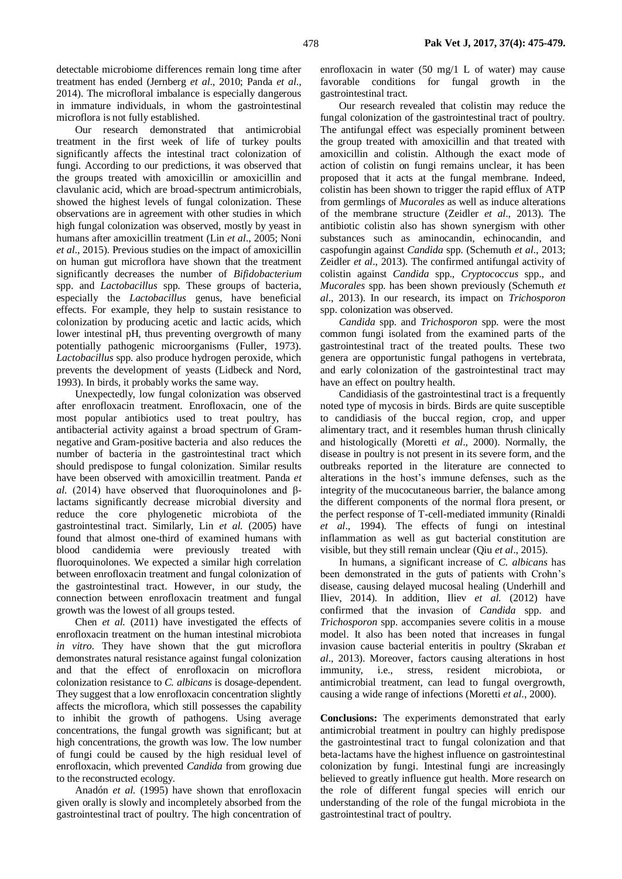detectable microbiome differences remain long time after treatment has ended (Jernberg *et al*., 2010; Panda *et al*., 2014). The microfloral imbalance is especially dangerous in immature individuals, in whom the gastrointestinal microflora is not fully established.

Our research demonstrated that antimicrobial treatment in the first week of life of turkey poults significantly affects the intestinal tract colonization of fungi. According to our predictions, it was observed that the groups treated with amoxicillin or amoxicillin and clavulanic acid, which are broad-spectrum antimicrobials, showed the highest levels of fungal colonization. These observations are in agreement with other studies in which high fungal colonization was observed, mostly by yeast in humans after amoxicillin treatment (Lin *et al*., 2005; Noni *et al*., 2015). Previous studies on the impact of amoxicillin on human gut microflora have shown that the treatment significantly decreases the number of *Bifidobacterium* spp. and *Lactobacillus* spp. These groups of bacteria, especially the *Lactobacillus* genus, have beneficial effects. For example, they help to sustain resistance to colonization by producing acetic and lactic acids, which lower intestinal pH, thus preventing overgrowth of many potentially pathogenic microorganisms (Fuller, 1973). *Lactobacillus* spp. also produce hydrogen peroxide, which prevents the development of yeasts (Lidbeck and Nord, 1993). In birds, it probably works the same way.

Unexpectedly, low fungal colonization was observed after enrofloxacin treatment. Enrofloxacin, one of the most popular antibiotics used to treat poultry, has antibacterial activity against a broad spectrum of Gramnegative and Gram-positive bacteria and also reduces the number of bacteria in the gastrointestinal tract which should predispose to fungal colonization. Similar results have been observed with amoxicillin treatment. Panda *et al.* (2014) have observed that fluoroquinolones and βlactams significantly decrease microbial diversity and reduce the core phylogenetic microbiota of the gastrointestinal tract. Similarly, Lin *et al.* (2005) have found that almost one-third of examined humans with blood candidemia were previously treated with fluoroquinolones. We expected a similar high correlation between enrofloxacin treatment and fungal colonization of the gastrointestinal tract. However, in our study, the connection between enrofloxacin treatment and fungal growth was the lowest of all groups tested.

Chen *et al.* (2011) have investigated the effects of enrofloxacin treatment on the human intestinal microbiota *in vitro*. They have shown that the gut microflora demonstrates natural resistance against fungal colonization and that the effect of enrofloxacin on microflora colonization resistance to *C. albicans* is dosage-dependent. They suggest that a low enrofloxacin concentration slightly affects the microflora, which still possesses the capability to inhibit the growth of pathogens. Using average concentrations, the fungal growth was significant; but at high concentrations, the growth was low. The low number of fungi could be caused by the high residual level of enrofloxacin, which prevented *Candida* from growing due to the reconstructed ecology.

Anadón *et al.* (1995) have shown that enrofloxacin given orally is slowly and incompletely absorbed from the gastrointestinal tract of poultry. The high concentration of enrofloxacin in water (50 mg/1 L of water) may cause favorable conditions for fungal growth in the gastrointestinal tract.

Our research revealed that colistin may reduce the fungal colonization of the gastrointestinal tract of poultry. The antifungal effect was especially prominent between the group treated with amoxicillin and that treated with amoxicillin and colistin. Although the exact mode of action of colistin on fungi remains unclear, it has been proposed that it acts at the fungal membrane. Indeed, colistin has been shown to trigger the rapid efflux of ATP from germlings of *Mucorales* as well as induce alterations of the membrane structure (Zeidler *et al*., 2013). The antibiotic colistin also has shown synergism with other substances such as aminocandin, echinocandin, and caspofungin against *Candida* spp. (Schemuth *et al*., 2013; Zeidler *et al*., 2013). The confirmed antifungal activity of colistin against *Candida* spp., *Cryptococcus* spp., and *Mucorales* spp. has been shown previously (Schemuth *et al*., 2013). In our research, its impact on *Trichosporon*  spp. colonization was observed.

*Candida* spp. and *Trichosporon* spp. were the most common fungi isolated from the examined parts of the gastrointestinal tract of the treated poults. These two genera are opportunistic fungal pathogens in vertebrata, and early colonization of the gastrointestinal tract may have an effect on poultry health.

Candidiasis of the gastrointestinal tract is a frequently noted type of mycosis in birds. Birds are quite susceptible to candidiasis of the buccal region, crop, and upper alimentary tract, and it resembles human thrush clinically and histologically (Moretti *et al*., 2000). Normally, the disease in poultry is not present in its severe form, and the outbreaks reported in the literature are connected to alterations in the host's immune defenses, such as the integrity of the mucocutaneous barrier, the balance among the different components of the normal flora present, or the perfect response of T-cell-mediated immunity (Rinaldi *et al*., 1994). The effects of fungi on intestinal inflammation as well as gut bacterial constitution are visible, but they still remain unclear (Qiu *et al*., 2015).

In humans, a significant increase of *C. albicans* has been demonstrated in the guts of patients with Crohn's disease, causing delayed mucosal healing (Underhill and Iliev, 2014). In addition, Iliev *et al.* (2012) have confirmed that the invasion of *Candida* spp. and *Trichosporon* spp. accompanies severe colitis in a mouse model. It also has been noted that increases in fungal invasion cause bacterial enteritis in poultry (Skraban *et al*., 2013). Moreover, factors causing alterations in host immunity, i.e., stress, resident microbiota, or antimicrobial treatment, can lead to fungal overgrowth, causing a wide range of infections (Moretti *et al*., 2000).

**Conclusions:** The experiments demonstrated that early antimicrobial treatment in poultry can highly predispose the gastrointestinal tract to fungal colonization and that beta-lactams have the highest influence on gastrointestinal colonization by fungi. Intestinal fungi are increasingly believed to greatly influence gut health. More research on the role of different fungal species will enrich our understanding of the role of the fungal microbiota in the gastrointestinal tract of poultry.